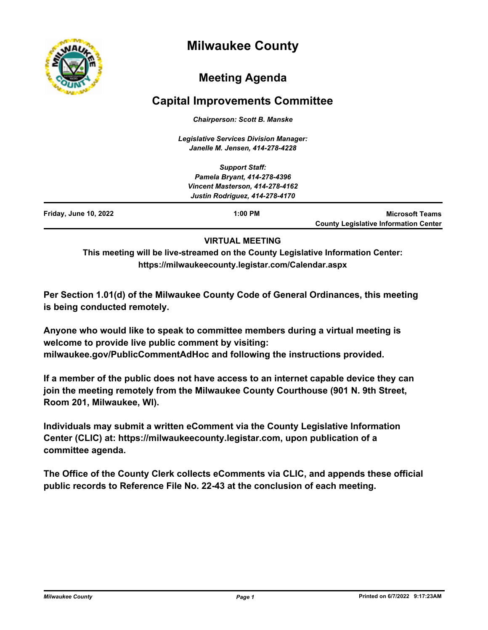

# **Milwaukee County**

# **Meeting Agenda**

## **Capital Improvements Committee**

*Chairperson: Scott B. Manske*

*Legislative Services Division Manager: Janelle M. Jensen, 414-278-4228*

|                       | <b>Support Staff:</b><br>Pamela Bryant, 414-278-4396                     |                                                                        |
|-----------------------|--------------------------------------------------------------------------|------------------------------------------------------------------------|
|                       | Vincent Masterson, 414-278-4162<br><b>Justin Rodriguez, 414-278-4170</b> |                                                                        |
| Friday, June 10, 2022 | $1:00$ PM                                                                | <b>Microsoft Teams</b><br><b>County Legislative Information Center</b> |

## **VIRTUAL MEETING**

**This meeting will be live-streamed on the County Legislative Information Center: https://milwaukeecounty.legistar.com/Calendar.aspx**

**Per Section 1.01(d) of the Milwaukee County Code of General Ordinances, this meeting is being conducted remotely.**

**Anyone who would like to speak to committee members during a virtual meeting is welcome to provide live public comment by visiting: milwaukee.gov/PublicCommentAdHoc and following the instructions provided.**

**If a member of the public does not have access to an internet capable device they can join the meeting remotely from the Milwaukee County Courthouse (901 N. 9th Street, Room 201, Milwaukee, WI).**

**Individuals may submit a written eComment via the County Legislative Information Center (CLIC) at: https://milwaukeecounty.legistar.com, upon publication of a committee agenda.**

**The Office of the County Clerk collects eComments via CLIC, and appends these official public records to Reference File No. 22-43 at the conclusion of each meeting.**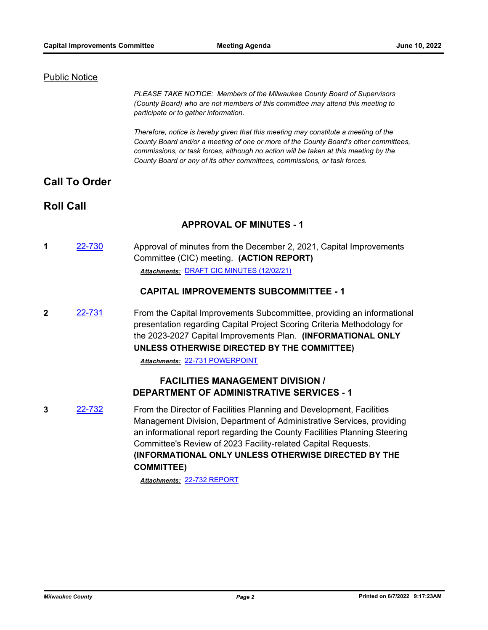#### Public Notice

*PLEASE TAKE NOTICE: Members of the Milwaukee County Board of Supervisors (County Board) who are not members of this committee may attend this meeting to participate or to gather information.*

*Therefore, notice is hereby given that this meeting may constitute a meeting of the County Board and/or a meeting of one or more of the County Board's other committees, commissions, or task forces, although no action will be taken at this meeting by the County Board or any of its other committees, commissions, or task forces.*

## **Call To Order**

## **Roll Call**

### **APPROVAL OF MINUTES - 1**

**1** [22-730](http://milwaukeecounty.legistar.com/gateway.aspx?m=l&id=/matter.aspx?key=12431) Approval of minutes from the December 2, 2021, Capital Improvements Committee (CIC) meeting. **(ACTION REPORT)** *Attachments:* [DRAFT CIC MINUTES \(12/02/21\)](http://MilwaukeeCounty.legistar.com/gateway.aspx?M=F&ID=05e7551e-9112-4645-a822-3a1e987a3372.pdf)

#### **CAPITAL IMPROVEMENTS SUBCOMMITTEE - 1**

**2** [22-731](http://milwaukeecounty.legistar.com/gateway.aspx?m=l&id=/matter.aspx?key=12432) From the Capital Improvements Subcommittee, providing an informational presentation regarding Capital Project Scoring Criteria Methodology for the 2023-2027 Capital Improvements Plan. **(INFORMATIONAL ONLY UNLESS OTHERWISE DIRECTED BY THE COMMITTEE)**

*Attachments:* [22-731 POWERPOINT](http://MilwaukeeCounty.legistar.com/gateway.aspx?M=F&ID=edb91841-948e-46b6-ad12-6f9178bd01fb.pptx)

## **FACILITIES MANAGEMENT DIVISION / DEPARTMENT OF ADMINISTRATIVE SERVICES - 1**

**3** [22-732](http://milwaukeecounty.legistar.com/gateway.aspx?m=l&id=/matter.aspx?key=12433) From the Director of Facilities Planning and Development, Facilities Management Division, Department of Administrative Services, providing an informational report regarding the County Facilities Planning Steering Committee's Review of 2023 Facility-related Capital Requests. **(INFORMATIONAL ONLY UNLESS OTHERWISE DIRECTED BY THE COMMITTEE)**

*Attachments:* [22-732 REPORT](http://MilwaukeeCounty.legistar.com/gateway.aspx?M=F&ID=4a5e78c7-e9ed-4135-8686-d1d9b3f1fbe0.pdf)